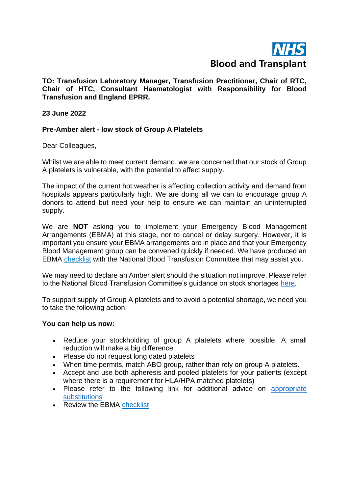

**TO: Transfusion Laboratory Manager, Transfusion Practitioner, Chair of RTC, Chair of HTC, Consultant Haematologist with Responsibility for Blood Transfusion and England EPRR.**

## **23 June 2022**

## **Pre-Amber alert - low stock of Group A Platelets**

Dear Colleagues,

Whilst we are able to meet current demand, we are concerned that our stock of Group A platelets is vulnerable, with the potential to affect supply.

The impact of the current hot weather is affecting collection activity and demand from hospitals appears particularly high. We are doing all we can to encourage group A donors to attend but need your help to ensure we can maintain an uninterrupted supply.

We are **NOT** asking you to implement your Emergency Blood Management Arrangements (EBMA) at this stage, nor to cancel or delay surgery. However, it is important you ensure your EBMA arrangements are in place and that your Emergency Blood Management group can be convened quickly if needed. We have produced an EBMA [checklist](https://www.transfusionguidelines.org/document-library/documents/shortage-plan-tickbox-checklist-pdf/download-file/shortage%20plan%20tickbox%20checklist.pdf) with the National Blood Transfusion Committee that may assist you.

We may need to declare an Amber alert should the situation not improve. Please refer to the National Blood Transfusion Committee's guidance on stock shortages [here.](https://www.transfusionguidelines.org/document-library/documents/nbtc-platelet-shortage-plan-november-2020-pdf)

To support supply of Group A platelets and to avoid a potential shortage, we need you to take the following action:

## **You can help us now:**

- Reduce your stockholding of group A platelets where possible. A small reduction will make a big difference
- Please do not request long dated platelets
- When time permits, match ABO group, rather than rely on group A platelets.
- Accept and use both apheresis and pooled platelets for your patients (except where there is a requirement for HLA/HPA matched platelets)
- Please refer to the following link for additional advice on [appropriate](https://nhsbtdbe.blob.core.windows.net/umbraco-assets-corp/18816/dat3728.pdf)  [substitutions](https://nhsbtdbe.blob.core.windows.net/umbraco-assets-corp/18816/dat3728.pdf)
- Review the EBMA [checklist](https://www.transfusionguidelines.org/document-library/documents/shortage-plan-tickbox-checklist-pdf/download-file/shortage%20plan%20tickbox%20checklist.pdf)